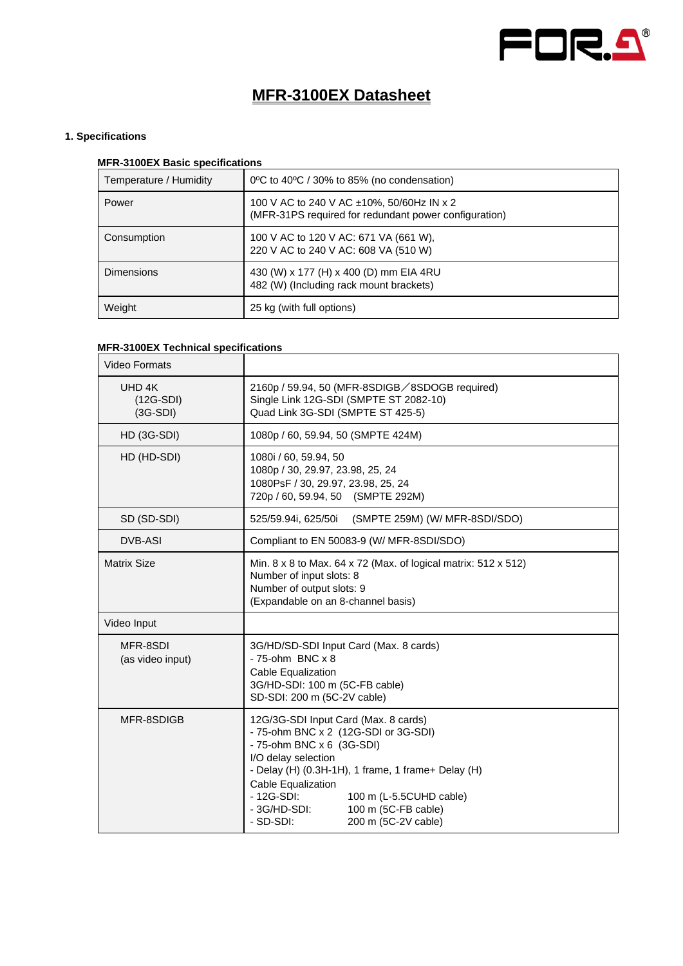

# **MFR-3100EX Datasheet**

### **1. Specifications**

### **MFR-3100EX Basic specifications**

| Temperature / Humidity | 0°C to 40°C / 30% to 85% (no condensation)                                                              |
|------------------------|---------------------------------------------------------------------------------------------------------|
| Power                  | 100 V AC to 240 V AC $\pm$ 10%, 50/60Hz IN x 2<br>(MFR-31PS required for redundant power configuration) |
| Consumption            | 100 V AC to 120 V AC: 671 VA (661 W),<br>220 V AC to 240 V AC: 608 VA (510 W)                           |
| <b>Dimensions</b>      | 430 (W) x 177 (H) x 400 (D) mm EIA 4RU<br>482 (W) (Including rack mount brackets)                       |
| Weight                 | 25 kg (with full options)                                                                               |

# **MFR-3100EX Technical specifications**

| <b>Video Formats</b>                |                                                                                                                                                                                                                                                                                                                                   |
|-------------------------------------|-----------------------------------------------------------------------------------------------------------------------------------------------------------------------------------------------------------------------------------------------------------------------------------------------------------------------------------|
| UHD 4K<br>$(12G-SDI)$<br>$(3G-SDI)$ | 2160p / 59.94, 50 (MFR-8SDIGB/8SDOGB required)<br>Single Link 12G-SDI (SMPTE ST 2082-10)<br>Quad Link 3G-SDI (SMPTE ST 425-5)                                                                                                                                                                                                     |
| HD (3G-SDI)                         | 1080p / 60, 59.94, 50 (SMPTE 424M)                                                                                                                                                                                                                                                                                                |
| HD (HD-SDI)                         | 1080i / 60, 59.94, 50<br>1080p / 30, 29.97, 23.98, 25, 24<br>1080PsF / 30, 29.97, 23.98, 25, 24<br>720p / 60, 59.94, 50 (SMPTE 292M)                                                                                                                                                                                              |
| SD (SD-SDI)                         | 525/59.94i, 625/50i<br>(SMPTE 259M) (W/ MFR-8SDI/SDO)                                                                                                                                                                                                                                                                             |
| <b>DVB-ASI</b>                      | Compliant to EN 50083-9 (W/ MFR-8SDI/SDO)                                                                                                                                                                                                                                                                                         |
| <b>Matrix Size</b>                  | Min. 8 x 8 to Max. 64 x 72 (Max. of logical matrix: 512 x 512)<br>Number of input slots: 8<br>Number of output slots: 9<br>(Expandable on an 8-channel basis)                                                                                                                                                                     |
| Video Input                         |                                                                                                                                                                                                                                                                                                                                   |
| MFR-8SDI<br>(as video input)        | 3G/HD/SD-SDI Input Card (Max. 8 cards)<br>$-75$ -ohm BNC $\times 8$<br>Cable Equalization<br>3G/HD-SDI: 100 m (5C-FB cable)<br>SD-SDI: 200 m (5C-2V cable)                                                                                                                                                                        |
| MFR-8SDIGB                          | 12G/3G-SDI Input Card (Max. 8 cards)<br>- 75-ohm BNC x 2 (12G-SDI or 3G-SDI)<br>- 75-ohm BNC x 6 (3G-SDI)<br>I/O delay selection<br>- Delay (H) (0.3H-1H), 1 frame, 1 frame+ Delay (H)<br>Cable Equalization<br>$-12G-SDI:$<br>100 m (L-5.5CUHD cable)<br>- 3G/HD-SDI:<br>100 m (5C-FB cable)<br>200 m (5C-2V cable)<br>- SD-SDI: |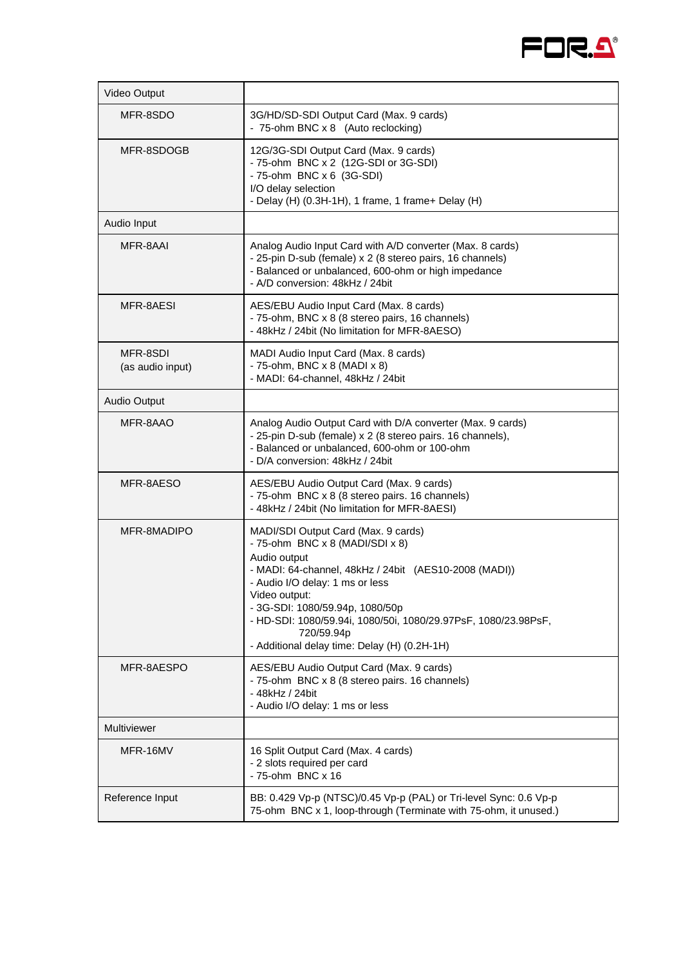

| Video Output                 |                                                                                                                                                                                                                                                                                                                                                                        |
|------------------------------|------------------------------------------------------------------------------------------------------------------------------------------------------------------------------------------------------------------------------------------------------------------------------------------------------------------------------------------------------------------------|
| MFR-8SDO                     | 3G/HD/SD-SDI Output Card (Max. 9 cards)<br>- 75-ohm BNC x 8 (Auto reclocking)                                                                                                                                                                                                                                                                                          |
| MFR-8SDOGB                   | 12G/3G-SDI Output Card (Max. 9 cards)<br>- 75-ohm BNC x 2 (12G-SDI or 3G-SDI)<br>- 75-ohm BNC x 6 (3G-SDI)<br>I/O delay selection<br>- Delay (H) (0.3H-1H), 1 frame, 1 frame+ Delay (H)                                                                                                                                                                                |
| Audio Input                  |                                                                                                                                                                                                                                                                                                                                                                        |
| MFR-8AAI                     | Analog Audio Input Card with A/D converter (Max. 8 cards)<br>- 25-pin D-sub (female) x 2 (8 stereo pairs, 16 channels)<br>- Balanced or unbalanced, 600-ohm or high impedance<br>- A/D conversion: 48kHz / 24bit                                                                                                                                                       |
| MFR-8AESI                    | AES/EBU Audio Input Card (Max. 8 cards)<br>- 75-ohm, BNC x 8 (8 stereo pairs, 16 channels)<br>- 48kHz / 24bit (No limitation for MFR-8AESO)                                                                                                                                                                                                                            |
| MFR-8SDI<br>(as audio input) | MADI Audio Input Card (Max. 8 cards)<br>- 75-ohm, BNC $x$ 8 (MADI $x$ 8)<br>- MADI: 64-channel, 48kHz / 24bit                                                                                                                                                                                                                                                          |
| Audio Output                 |                                                                                                                                                                                                                                                                                                                                                                        |
| MFR-8AAO                     | Analog Audio Output Card with D/A converter (Max. 9 cards)<br>- 25-pin D-sub (female) x 2 (8 stereo pairs. 16 channels),<br>- Balanced or unbalanced, 600-ohm or 100-ohm<br>- D/A conversion: 48kHz / 24bit                                                                                                                                                            |
| MFR-8AESO                    | AES/EBU Audio Output Card (Max. 9 cards)<br>- 75-ohm BNC x 8 (8 stereo pairs. 16 channels)<br>- 48kHz / 24bit (No limitation for MFR-8AESI)                                                                                                                                                                                                                            |
| MFR-8MADIPO                  | MADI/SDI Output Card (Max. 9 cards)<br>- 75-ohm BNC x 8 (MADI/SDI x 8)<br>Audio output<br>- MADI: 64-channel, 48kHz / 24bit (AES10-2008 (MADI))<br>- Audio I/O delay: 1 ms or less<br>Video output:<br>- 3G-SDI: 1080/59.94p, 1080/50p<br>- HD-SDI: 1080/59.94i, 1080/50i, 1080/29.97PsF, 1080/23.98PsF,<br>720/59.94p<br>- Additional delay time: Delay (H) (0.2H-1H) |
| MFR-8AESPO                   | AES/EBU Audio Output Card (Max. 9 cards)<br>- 75-ohm BNC x 8 (8 stereo pairs. 16 channels)<br>- 48kHz / 24bit<br>- Audio I/O delay: 1 ms or less                                                                                                                                                                                                                       |
| Multiviewer                  |                                                                                                                                                                                                                                                                                                                                                                        |
| MFR-16MV                     | 16 Split Output Card (Max. 4 cards)<br>- 2 slots required per card<br>- 75-ohm BNC x 16                                                                                                                                                                                                                                                                                |
| Reference Input              | BB: 0.429 Vp-p (NTSC)/0.45 Vp-p (PAL) or Tri-level Sync: 0.6 Vp-p<br>75-ohm BNC x 1, loop-through (Terminate with 75-ohm, it unused.)                                                                                                                                                                                                                                  |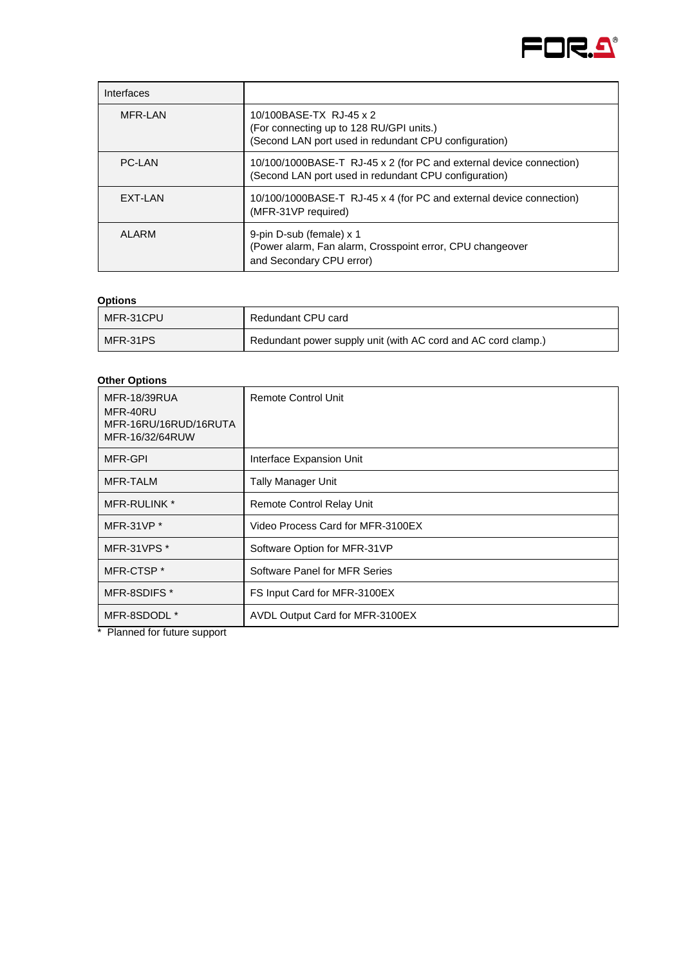

| Interfaces     |                                                                                                                              |
|----------------|------------------------------------------------------------------------------------------------------------------------------|
| MFR-LAN        | 10/100BASE-TX RJ-45 x 2<br>(For connecting up to 128 RU/GPI units.)<br>(Second LAN port used in redundant CPU configuration) |
| PC-LAN         | 10/100/1000BASE-T RJ-45 x 2 (for PC and external device connection)<br>(Second LAN port used in redundant CPU configuration) |
| <b>EXT-LAN</b> | 10/100/1000BASE-T RJ-45 x 4 (for PC and external device connection)<br>(MFR-31VP required)                                   |
| ALARM          | 9-pin D-sub (female) x 1<br>(Power alarm, Fan alarm, Crosspoint error, CPU changeover<br>and Secondary CPU error)            |

### **Options**

| MFR-31CPU | Redundant CPU card                                            |
|-----------|---------------------------------------------------------------|
| MFR-31PS  | Redundant power supply unit (with AC cord and AC cord clamp.) |

## **Other Options**

| <b>MFR-18/39RUA</b><br>MFR-40RU<br>MFR-16RU/16RUD/16RUTA<br>MFR-16/32/64RUW                                                                                                                                                                                                                                                       | <b>Remote Control Unit</b>        |
|-----------------------------------------------------------------------------------------------------------------------------------------------------------------------------------------------------------------------------------------------------------------------------------------------------------------------------------|-----------------------------------|
| MFR-GPI                                                                                                                                                                                                                                                                                                                           | Interface Expansion Unit          |
| MFR-TALM                                                                                                                                                                                                                                                                                                                          | <b>Tally Manager Unit</b>         |
| <b>MFR-RULINK *</b>                                                                                                                                                                                                                                                                                                               | Remote Control Relay Unit         |
| MFR-31VP $*$                                                                                                                                                                                                                                                                                                                      | Video Process Card for MFR-3100EX |
| MFR-31VPS <sup>*</sup>                                                                                                                                                                                                                                                                                                            | Software Option for MFR-31VP      |
| MFR-CTSP <sup>*</sup>                                                                                                                                                                                                                                                                                                             | Software Panel for MFR Series     |
| MFR-8SDIFS *                                                                                                                                                                                                                                                                                                                      | FS Input Card for MFR-3100EX      |
| MFR-8SDODL *<br>$\ddot{ }$ $\ddot{ }$ $\ddot{ }$ $\ddot{ }$ $\ddot{ }$ $\ddot{ }$ $\ddot{ }$ $\ddot{ }$ $\ddot{ }$ $\ddot{ }$ $\ddot{ }$ $\ddot{ }$ $\ddot{ }$ $\ddot{ }$ $\ddot{ }$ $\ddot{ }$ $\ddot{ }$ $\ddot{ }$ $\ddot{ }$ $\ddot{ }$ $\ddot{ }$ $\ddot{ }$ $\ddot{ }$ $\ddot{ }$ $\ddot{ }$ $\ddot{ }$ $\ddot{ }$ $\ddot{$ | AVDL Output Card for MFR-3100EX   |

\* Planned for future support